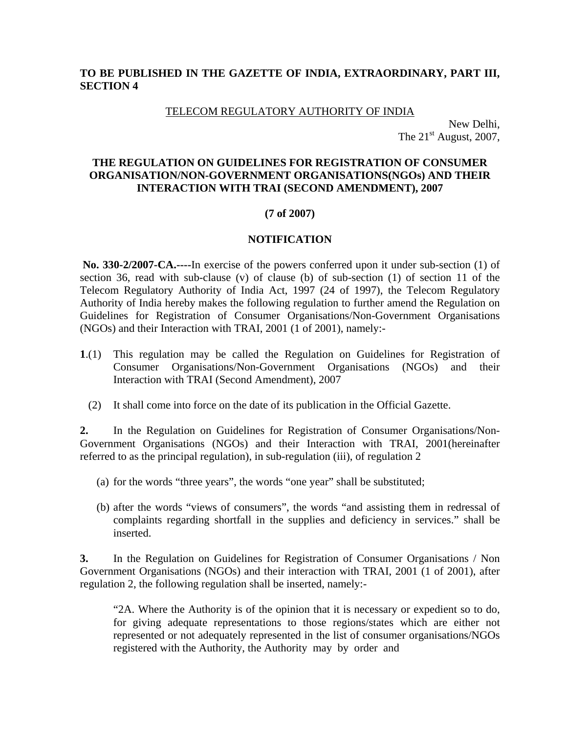## **TO BE PUBLISHED IN THE GAZETTE OF INDIA, EXTRAORDINARY, PART III, SECTION 4**

#### TELECOM REGULATORY AUTHORITY OF INDIA

New Delhi, The  $21<sup>st</sup>$  August, 2007,

## **THE REGULATION ON GUIDELINES FOR REGISTRATION OF CONSUMER ORGANISATION/NON-GOVERNMENT ORGANISATIONS(NGOs) AND THEIR INTERACTION WITH TRAI (SECOND AMENDMENT), 2007**

## **(7 of 2007)**

## **NOTIFICATION**

 **No. 330-2/2007-CA.----**In exercise of the powers conferred upon it under sub-section (1) of section 36, read with sub-clause (v) of clause (b) of sub-section (1) of section 11 of the Telecom Regulatory Authority of India Act, 1997 (24 of 1997), the Telecom Regulatory Authority of India hereby makes the following regulation to further amend the Regulation on Guidelines for Registration of Consumer Organisations/Non-Government Organisations (NGOs) and their Interaction with TRAI, 2001 (1 of 2001), namely:-

- **1**.(1) This regulation may be called the Regulation on Guidelines for Registration of Consumer Organisations/Non-Government Organisations (NGOs) and their Interaction with TRAI (Second Amendment), 2007
	- (2) It shall come into force on the date of its publication in the Official Gazette.

**2.** In the Regulation on Guidelines for Registration of Consumer Organisations/Non-Government Organisations (NGOs) and their Interaction with TRAI, 2001(hereinafter referred to as the principal regulation), in sub-regulation (iii), of regulation 2

- (a) for the words "three years", the words "one year" shall be substituted;
- (b) after the words "views of consumers", the words "and assisting them in redressal of complaints regarding shortfall in the supplies and deficiency in services." shall be inserted.

**3.** In the Regulation on Guidelines for Registration of Consumer Organisations / Non Government Organisations (NGOs) and their interaction with TRAI, 2001 (1 of 2001), after regulation 2, the following regulation shall be inserted, namely:-

"2A. Where the Authority is of the opinion that it is necessary or expedient so to do, for giving adequate representations to those regions/states which are either not represented or not adequately represented in the list of consumer organisations/NGOs registered with the Authority, the Authority may by order and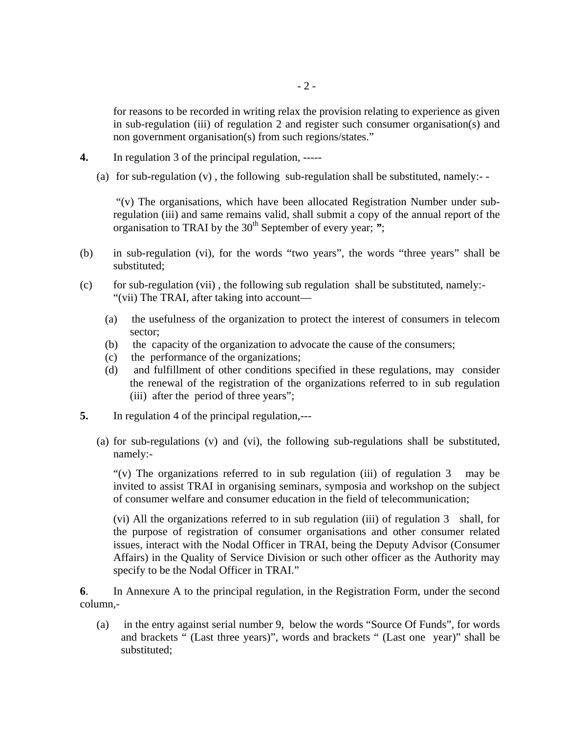for reasons to be recorded in writing relax the provision relating to experience as given in sub-regulation (iii) of regulation 2 and register such consumer organisation(s) and non government organisation(s) from such regions/states."

- **4.** In regulation 3 of the principal regulation, -----
	- (a) for sub-regulation  $(v)$ , the following sub-regulation shall be substituted, namely:-

"(v) The organisations, which have been allocated Registration Number under subregulation (iii) and same remains valid, shall submit a copy of the annual report of the organisation to TRAI by the 30<sup>th</sup> September of every year; ";

- (b) in sub-regulation (vi), for the words "two years", the words "three years" shall be substituted;
- (c) for sub-regulation (vii) , the following sub regulation shall be substituted, namely:- "(vii) The TRAI, after taking into account—
	- (a) the usefulness of the organization to protect the interest of consumers in telecom sector;
	- (b) the capacity of the organization to advocate the cause of the consumers;
	- (c) the performance of the organizations;
	- (d) and fulfillment of other conditions specified in these regulations, may consider the renewal of the registration of the organizations referred to in sub regulation (iii) after the period of three years";
- **5.** In regulation 4 of the principal regulation,---
	- (a) for sub-regulations (v) and (vi), the following sub-regulations shall be substituted, namely:-

"(v) The organizations referred to in sub regulation (iii) of regulation  $3$  may be invited to assist TRAI in organising seminars, symposia and workshop on the subject of consumer welfare and consumer education in the field of telecommunication;

(vi) All the organizations referred to in sub regulation (iii) of regulation 3 shall, for the purpose of registration of consumer organisations and other consumer related issues, interact with the Nodal Officer in TRAI, being the Deputy Advisor (Consumer Affairs) in the Quality of Service Division or such other officer as the Authority may specify to be the Nodal Officer in TRAI."

**6**. In Annexure A to the principal regulation, in the Registration Form, under the second column,-

(a) in the entry against serial number 9, below the words "Source Of Funds", for words and brackets " (Last three years)", words and brackets " (Last one year)" shall be substituted;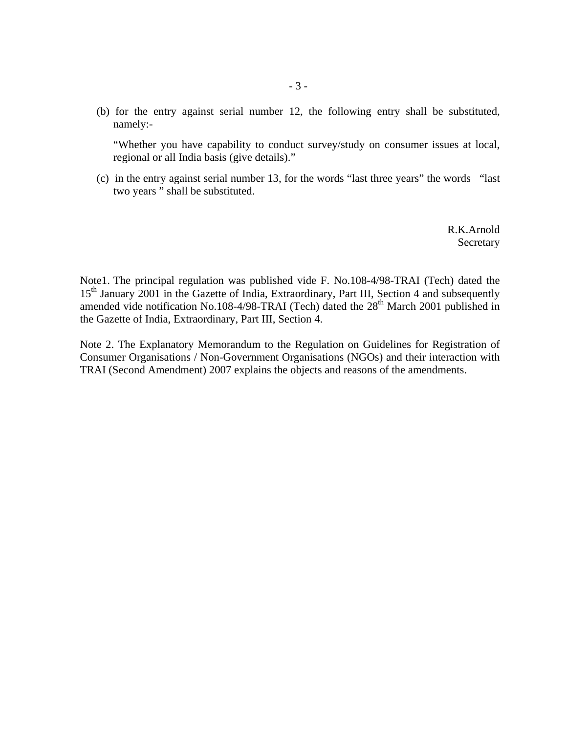(b) for the entry against serial number 12, the following entry shall be substituted, namely:-

"Whether you have capability to conduct survey/study on consumer issues at local, regional or all India basis (give details)."

(c) in the entry against serial number 13, for the words "last three years" the words "last two years " shall be substituted.

> R.K.Arnold **Secretary**

Note1. The principal regulation was published vide F. No.108-4/98-TRAI (Tech) dated the 15<sup>th</sup> January 2001 in the Gazette of India, Extraordinary, Part III, Section 4 and subsequently amended vide notification No.108-4/98-TRAI (Tech) dated the  $28<sup>th</sup>$  March 2001 published in the Gazette of India, Extraordinary, Part III, Section 4.

Note 2. The Explanatory Memorandum to the Regulation on Guidelines for Registration of Consumer Organisations / Non-Government Organisations (NGOs) and their interaction with TRAI (Second Amendment) 2007 explains the objects and reasons of the amendments.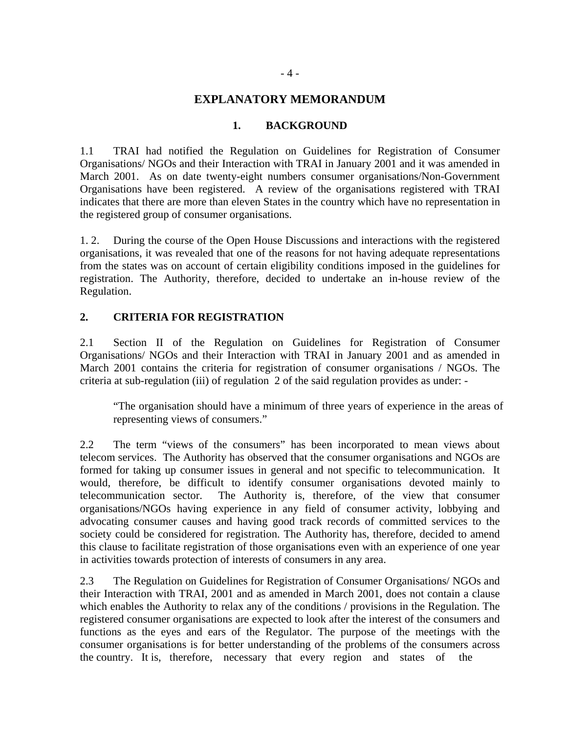## **EXPLANATORY MEMORANDUM**

#### **1. BACKGROUND**

1.1 TRAI had notified the Regulation on Guidelines for Registration of Consumer Organisations/ NGOs and their Interaction with TRAI in January 2001 and it was amended in March 2001. As on date twenty-eight numbers consumer organisations/Non-Government Organisations have been registered. A review of the organisations registered with TRAI indicates that there are more than eleven States in the country which have no representation in the registered group of consumer organisations.

1. 2. During the course of the Open House Discussions and interactions with the registered organisations, it was revealed that one of the reasons for not having adequate representations from the states was on account of certain eligibility conditions imposed in the guidelines for registration. The Authority, therefore, decided to undertake an in-house review of the Regulation.

### **2. CRITERIA FOR REGISTRATION**

2.1 Section II of the Regulation on Guidelines for Registration of Consumer Organisations/ NGOs and their Interaction with TRAI in January 2001 and as amended in March 2001 contains the criteria for registration of consumer organisations / NGOs. The criteria at sub-regulation (iii) of regulation 2 of the said regulation provides as under: -

"The organisation should have a minimum of three years of experience in the areas of representing views of consumers."

2.2 The term "views of the consumers" has been incorporated to mean views about telecom services. The Authority has observed that the consumer organisations and NGOs are formed for taking up consumer issues in general and not specific to telecommunication. It would, therefore, be difficult to identify consumer organisations devoted mainly to telecommunication sector. The Authority is, therefore, of the view that consumer organisations/NGOs having experience in any field of consumer activity, lobbying and advocating consumer causes and having good track records of committed services to the society could be considered for registration. The Authority has, therefore, decided to amend this clause to facilitate registration of those organisations even with an experience of one year in activities towards protection of interests of consumers in any area.

2.3 The Regulation on Guidelines for Registration of Consumer Organisations/ NGOs and their Interaction with TRAI, 2001 and as amended in March 2001, does not contain a clause which enables the Authority to relax any of the conditions / provisions in the Regulation. The registered consumer organisations are expected to look after the interest of the consumers and functions as the eyes and ears of the Regulator. The purpose of the meetings with the consumer organisations is for better understanding of the problems of the consumers across the country. It is, therefore, necessary that every region and states of the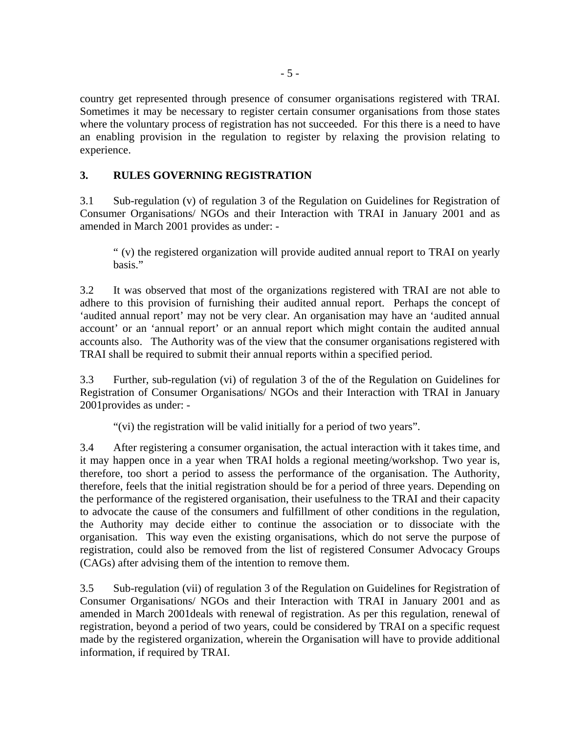country get represented through presence of consumer organisations registered with TRAI. Sometimes it may be necessary to register certain consumer organisations from those states where the voluntary process of registration has not succeeded. For this there is a need to have an enabling provision in the regulation to register by relaxing the provision relating to experience.

# **3. RULES GOVERNING REGISTRATION**

3.1 Sub-regulation (v) of regulation 3 of the Regulation on Guidelines for Registration of Consumer Organisations/ NGOs and their Interaction with TRAI in January 2001 and as amended in March 2001 provides as under: -

" (v) the registered organization will provide audited annual report to TRAI on yearly basis."

3.2 It was observed that most of the organizations registered with TRAI are not able to adhere to this provision of furnishing their audited annual report. Perhaps the concept of 'audited annual report' may not be very clear. An organisation may have an 'audited annual account' or an 'annual report' or an annual report which might contain the audited annual accounts also. The Authority was of the view that the consumer organisations registered with TRAI shall be required to submit their annual reports within a specified period.

3.3 Further, sub-regulation (vi) of regulation 3 of the of the Regulation on Guidelines for Registration of Consumer Organisations/ NGOs and their Interaction with TRAI in January 2001provides as under: -

"(vi) the registration will be valid initially for a period of two years".

3.4 After registering a consumer organisation, the actual interaction with it takes time, and it may happen once in a year when TRAI holds a regional meeting/workshop. Two year is, therefore, too short a period to assess the performance of the organisation. The Authority, therefore, feels that the initial registration should be for a period of three years. Depending on the performance of the registered organisation, their usefulness to the TRAI and their capacity to advocate the cause of the consumers and fulfillment of other conditions in the regulation, the Authority may decide either to continue the association or to dissociate with the organisation. This way even the existing organisations, which do not serve the purpose of registration, could also be removed from the list of registered Consumer Advocacy Groups (CAGs) after advising them of the intention to remove them.

3.5 Sub-regulation (vii) of regulation 3 of the Regulation on Guidelines for Registration of Consumer Organisations/ NGOs and their Interaction with TRAI in January 2001 and as amended in March 2001deals with renewal of registration. As per this regulation, renewal of registration, beyond a period of two years, could be considered by TRAI on a specific request made by the registered organization, wherein the Organisation will have to provide additional information, if required by TRAI.